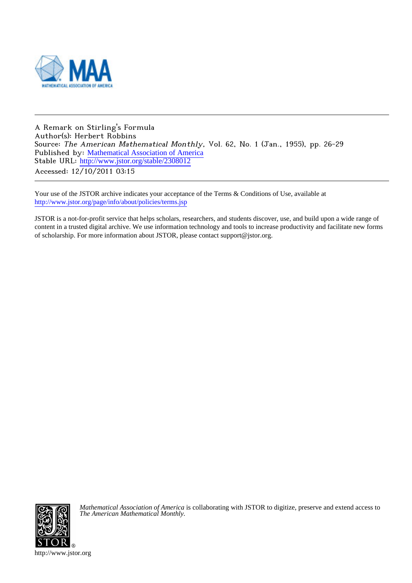

A Remark on Stirling's Formula Author(s): Herbert Robbins Source: The American Mathematical Monthly, Vol. 62, No. 1 (Jan., 1955), pp. 26-29 Published by: [Mathematical Association of America](http://www.jstor.org/action/showPublisher?publisherCode=maa) Stable URL: [http://www.jstor.org/stable/2308012](http://www.jstor.org/stable/2308012?origin=JSTOR-pdf) Accessed: 12/10/2011 03:15

Your use of the JSTOR archive indicates your acceptance of the Terms & Conditions of Use, available at <http://www.jstor.org/page/info/about/policies/terms.jsp>

JSTOR is a not-for-profit service that helps scholars, researchers, and students discover, use, and build upon a wide range of content in a trusted digital archive. We use information technology and tools to increase productivity and facilitate new forms of scholarship. For more information about JSTOR, please contact support@jstor.org.



*Mathematical Association of America* is collaborating with JSTOR to digitize, preserve and extend access to *The American Mathematical Monthly.*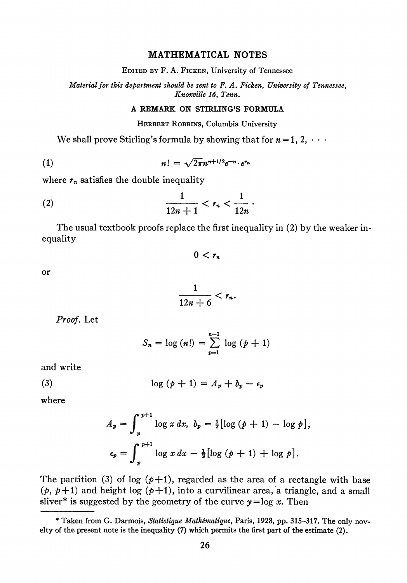## MATHEMATICAL NOTES

EDITED BY F. A. FICKEN, University of Tennessee

Material for this department should be sent to F. A. Ficken, University of Tennessee, Knoxville 16, Tenn.

## A REMARK ON STIRLING'S FORMULA

HERBERT ROBBINS, Columbia University

We shall prove Stirling's formula by showing that for  $n = 1, 2, \cdots$ 

$$
n! = \sqrt{2\pi}n^{n+1/2}e^{-n}\cdot e^{r_n}
$$

where  $r_n$  satisfies the double inequality

(2) 
$$
\frac{1}{12n+1} < r_n < \frac{1}{12n} \, .
$$

The usual textbook proofs replace the first inequality in (2) by the weaker inequality

$$
0
$$

or

$$
\frac{1}{12n+6}
$$

Proof. Let

$$
S_n = \log (n!) = \sum_{p=1}^{n-1} \log (p+1)
$$

and write

$$
\log (p+1) = A_p + b_p - \epsilon_p
$$

where

$$
A_p = \int_p^{p+1} \log x \, dx, \quad b_p = \frac{1}{2} [\log (p+1) - \log p],
$$
  

$$
\epsilon_p = \int_p^{p+1} \log x \, dx - \frac{1}{2} [\log (p+1) + \log p].
$$

The partition (3) of log  $(p+1)$ , regarded as the area of a rectangle with base  $(p, p+1)$  and height log  $(p+1)$ , into a curvilinear area, a triangle, and a small sliver\* is suggested by the geometry of the curve  $y = log x$ . Then

<sup>\*</sup> Taken from G. Darmois, Statistique Math6matique, Paris, 1928, pp. 315-317. The only novelty of the present note is the inequality (7) which permits the first part of the estimate (2).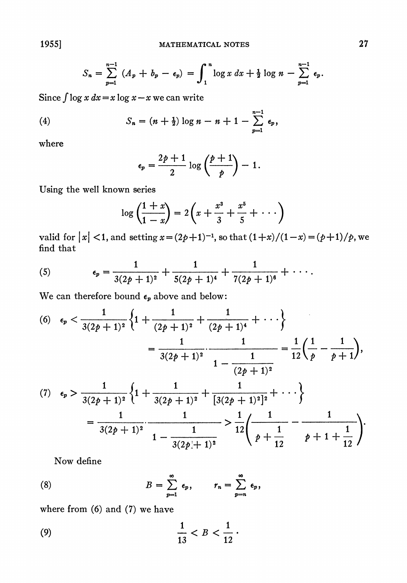$$
S_n = \sum_{p=1}^{n-1} (A_p + b_p - \epsilon_p) = \int_1^n \log x \, dx + \frac{1}{2} \log n - \sum_{p=1}^{n-1} \epsilon_p.
$$

Since  $\int \log x \, dx = x \log x - x$  we can write

(4) 
$$
S_n = (n + \frac{1}{2}) \log n - n + 1 - \sum_{p=1}^{n-1} \epsilon_p,
$$

where

$$
\epsilon_p = \frac{2p+1}{2} \log \left( \frac{p+1}{p} \right) - 1.
$$

Using the well known series

$$
\log\left(\frac{1+x}{1-x}\right) = 2\left(x + \frac{x^3}{3} + \frac{x^5}{5} + \cdots\right)
$$

valid for  $|x| < 1$ , and setting  $x = (2p+1)^{-1}$ , so that  $(1+x)/(1-x) = (p+1)/p$ , we find that

(5) 
$$
\epsilon_p = \frac{1}{3(2p+1)^2} + \frac{1}{5(2p+1)^4} + \frac{1}{7(2p+1)^6} + \cdots
$$

We can therefore bound  $\epsilon_p$  above and below:

(6) 
$$
\epsilon_p < \frac{1}{3(2p+1)^2} \left\{ 1 + \frac{1}{(2p+1)^2} + \frac{1}{(2p+1)^4} + \cdots \right\}
$$
  
\n
$$
= \frac{1}{3(2p+1)^2} \cdot \frac{1}{1 - \frac{1}{(2p+1)^2}} = \frac{1}{12} \left( \frac{1}{p} - \frac{1}{p+1} \right),
$$
\n(7)  $\epsilon_p > \frac{1}{3(2p+1)^2} \left\{ 1 + \frac{1}{3(2p+1)^2} + \frac{1}{[3(2p+1)^2]^2} + \cdots \right\}$   
\n
$$
= \frac{1}{3(2p+1)^2} \cdot \frac{1}{1 - \frac{1}{3(2p+1)^2}} > \frac{1}{12} \left( \frac{1}{p + \frac{1}{12}} - \frac{1}{p+1 + \frac{1}{12}} \right).
$$

Now define

(8) 
$$
B = \sum_{p=1}^{\infty} \epsilon_p, \qquad r_n = \sum_{p=n}^{\infty} \epsilon_p,
$$

where from (6) and (7) we have

(9) 
$$
\frac{1}{13} < B < \frac{1}{12} \, .
$$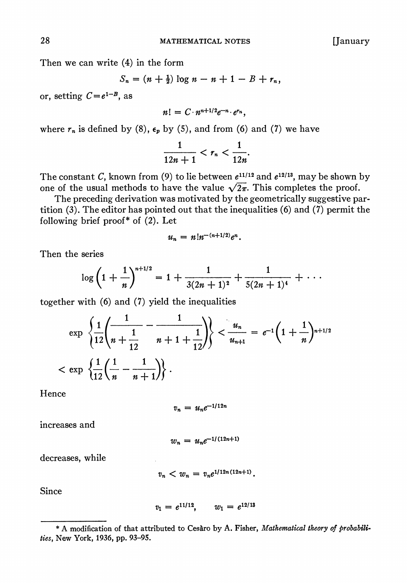Then we can write (4) in the form

$$
S_n = (n + \frac{1}{2}) \log n - n + 1 - B + r_n,
$$

or, setting  $C=e^{1-B}$ , as

$$
n! = C \cdot n^{n+1/2} e^{-n} \cdot e^{r_n},
$$

where  $r_n$  is defined by (8),  $\epsilon_p$  by (5), and from (6) and (7) we have

$$
\frac{1}{12n+1} < r_n < \frac{1}{12n}.
$$

The constant C, known from (9) to lie between  $e^{11/12}$  and  $e^{12/13}$ , may be shown by one of the usual methods to have the value  $\sqrt{2\pi}$ . This completes the proof.

The preceding derivation was motivated by the geometrically suggestive partition (3). The editor has pointed out that the inequalities (6) and (7) permit the following brief proof\* of (2). Let

$$
u_n = n!n^{-(n+1/2)}e^n
$$

Then the series

$$
\log\left(1+\frac{1}{n}\right)^{n+1/2}=1+\frac{1}{3(2n+1)^2}+\frac{1}{5(2n+1)^4}+\cdots
$$

together with (6) and (7) yield the inequalities

$$
\exp\left\{\frac{1}{12}\left(\frac{1}{n+\frac{1}{12}}-\frac{1}{n+1+\frac{1}{12}}\right)\right\}<\frac{u_n}{u_{n+1}}=e^{-1}\left(1+\frac{1}{n}\right)^{n+1/2}
$$
  

$$
<\exp\left\{\frac{1}{12}\left(\frac{1}{n}-\frac{1}{n+1}\right)\right\}.
$$

Hence

$$
v_n = u_n e^{-1/12n}
$$

increases and

$$
w_n = u_n e^{-1/(12n+1)}
$$

decreases, while

$$
v_n < w_n = v_n e^{1/12n(12n+1)}
$$

Since

$$
v_1 = e^{11/12}, \qquad w_1 = e^{12/13}
$$

<sup>\*</sup> A modification of that attributed to Ceshro by A. Fisher, Mathematical theory of probabilities, New York, 1936, pp. 93-95.